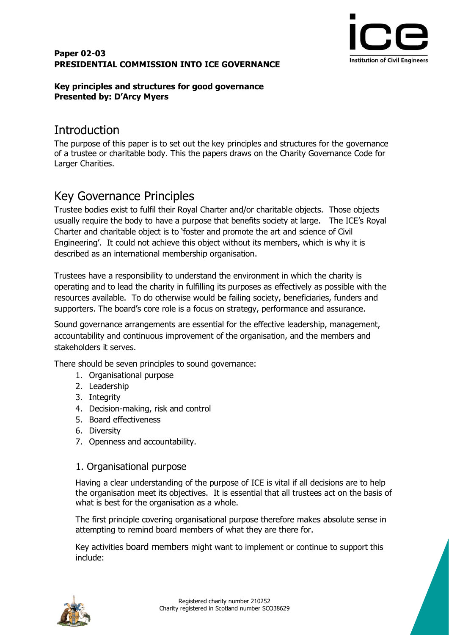#### **Paper 02-03 PRESIDENTIAL COMMISSION INTO ICE GOVERNANCE**



#### **Key principles and structures for good governance Presented by: D'Arcy Myers**

## **Introduction**

The purpose of this paper is to set out the key principles and structures for the governance of a trustee or charitable body. This the papers draws on the Charity Governance Code for Larger Charities.

# Key Governance Principles

Trustee bodies exist to fulfil their Royal Charter and/or charitable objects. Those objects usually require the body to have a purpose that benefits society at large. The ICE's Royal Charter and charitable object is to 'foster and promote the art and science of Civil Engineering'. It could not achieve this object without its members, which is why it is described as an international membership organisation.

Trustees have a responsibility to understand the environment in which the charity is operating and to lead the charity in fulfilling its purposes as effectively as possible with the resources available. To do otherwise would be failing society, beneficiaries, funders and supporters. The board's core role is a focus on strategy, performance and assurance.

Sound governance arrangements are essential for the effective leadership, management, accountability and continuous improvement of the organisation, and the members and stakeholders it serves.

There should be seven principles to sound governance:

- 1. Organisational purpose
- 2. Leadership
- 3. Integrity
- 4. Decision-making, risk and control
- 5. Board effectiveness
- 6. Diversity
- 7. Openness and accountability.

#### 1. Organisational purpose

Having a clear understanding of the purpose of ICE is vital if all decisions are to help the organisation meet its objectives. It is essential that all trustees act on the basis of what is best for the organisation as a whole.

The first principle covering organisational purpose therefore makes absolute sense in attempting to remind board members of what they are there for.

Key activities board members might want to implement or continue to support this include:

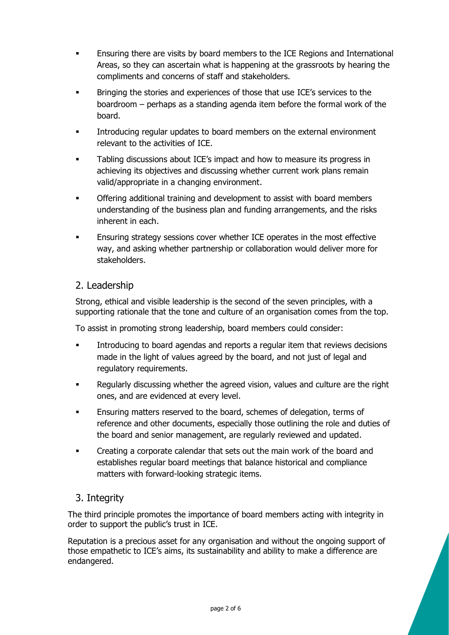- Ensuring there are visits by board members to the ICE Regions and International Areas, so they can ascertain what is happening at the grassroots by hearing the compliments and concerns of staff and stakeholders.
- Bringing the stories and experiences of those that use ICE's services to the boardroom – perhaps as a standing agenda item before the formal work of the board.
- Introducing regular updates to board members on the external environment relevant to the activities of ICE.
- Tabling discussions about ICE's impact and how to measure its progress in achieving its objectives and discussing whether current work plans remain valid/appropriate in a changing environment.
- Offering additional training and development to assist with board members understanding of the business plan and funding arrangements, and the risks inherent in each.
- Ensuring strategy sessions cover whether ICE operates in the most effective way, and asking whether partnership or collaboration would deliver more for stakeholders.

### 2. Leadership

Strong, ethical and visible leadership is the second of the seven principles, with a supporting rationale that the tone and culture of an organisation comes from the top.

To assist in promoting strong leadership, board members could consider:

- Introducing to board agendas and reports a regular item that reviews decisions made in the light of values agreed by the board, and not just of legal and regulatory requirements.
- Regularly discussing whether the agreed vision, values and culture are the right ones, and are evidenced at every level.
- Ensuring matters reserved to the board, schemes of delegation, terms of reference and other documents, especially those outlining the role and duties of the board and senior management, are regularly reviewed and updated.
- Creating a corporate calendar that sets out the main work of the board and establishes regular board meetings that balance historical and compliance matters with forward-looking strategic items.

## 3. Integrity

The third principle promotes the importance of board members acting with integrity in order to support the public's trust in ICE.

Reputation is a precious asset for any organisation and without the ongoing support of those empathetic to ICE's aims, its sustainability and ability to make a difference are endangered.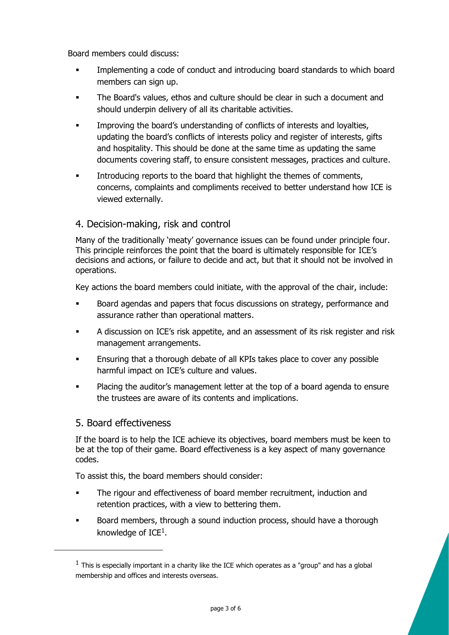Board members could discuss:

- Implementing a code of conduct and introducing board standards to which board members can sign up.
- The Board's values, ethos and culture should be clear in such a document and should underpin delivery of all its charitable activities.
- Improving the board's understanding of conflicts of interests and loyalties, updating the board's conflicts of interests policy and register of interests, gifts and hospitality. This should be done at the same time as updating the same documents covering staff, to ensure consistent messages, practices and culture.
- Introducing reports to the board that highlight the themes of comments, concerns, complaints and compliments received to better understand how ICE is viewed externally.

### 4. Decision-making, risk and control

Many of the traditionally 'meaty' governance issues can be found under principle four. This principle reinforces the point that the board is ultimately responsible for ICE's decisions and actions, or failure to decide and act, but that it should not be involved in operations.

Key actions the board members could initiate, with the approval of the chair, include:

- Board agendas and papers that focus discussions on strategy, performance and assurance rather than operational matters.
- A discussion on ICE's risk appetite, and an assessment of its risk register and risk management arrangements.
- Ensuring that a thorough debate of all KPIs takes place to cover any possible harmful impact on ICE's culture and values.
- Placing the auditor's management letter at the top of a board agenda to ensure the trustees are aware of its contents and implications.

#### 5. Board effectiveness

-

If the board is to help the ICE achieve its objectives, board members must be keen to be at the top of their game. Board effectiveness is a key aspect of many governance codes.

To assist this, the board members should consider:

- The rigour and effectiveness of board member recruitment, induction and retention practices, with a view to bettering them.
- Board members, through a sound induction process, should have a thorough knowledge of ICE<sup>1</sup>.

 $<sup>1</sup>$  This is especially important in a charity like the ICE which operates as a "group" and has a global</sup> membership and offices and interests overseas.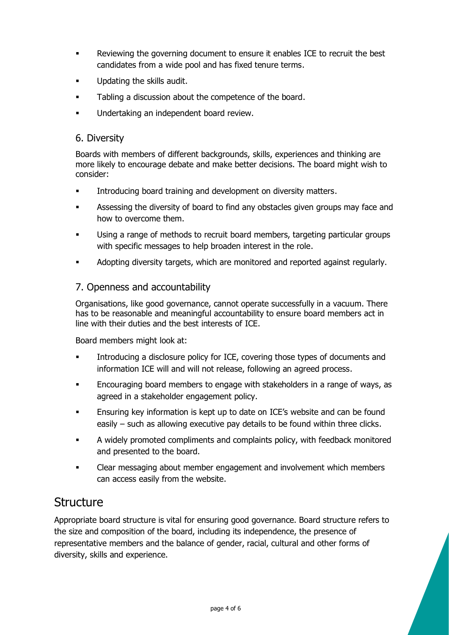- Reviewing the governing document to ensure it enables ICE to recruit the best candidates from a wide pool and has fixed tenure terms.
- Updating the skills audit.
- Tabling a discussion about the competence of the board.
- Undertaking an independent board review.

#### 6. Diversity

Boards with members of different backgrounds, skills, experiences and thinking are more likely to encourage debate and make better decisions. The board might wish to consider:

- **■** Introducing board training and development on diversity matters.
- Assessing the diversity of board to find any obstacles given groups may face and how to overcome them.
- Using a range of methods to recruit board members, targeting particular groups with specific messages to help broaden interest in the role.
- Adopting diversity targets, which are monitored and reported against regularly.

#### 7. Openness and accountability

Organisations, like good governance, cannot operate successfully in a vacuum. There has to be reasonable and meaningful accountability to ensure board members act in line with their duties and the best interests of ICE.

Board members might look at:

- Introducing a disclosure policy for ICE, covering those types of documents and information ICE will and will not release, following an agreed process.
- Encouraging board members to engage with stakeholders in a range of ways, as agreed in a stakeholder engagement policy.
- Ensuring key information is kept up to date on ICE's website and can be found easily – such as allowing executive pay details to be found within three clicks.
- A widely promoted compliments and complaints policy, with feedback monitored and presented to the board.
- Clear messaging about member engagement and involvement which members can access easily from the website.

## **Structure**

Appropriate board structure is vital for ensuring good governance. Board structure refers to the size and composition of the board, including its independence, the presence of representative members and the balance of gender, racial, cultural and other forms of diversity, skills and experience.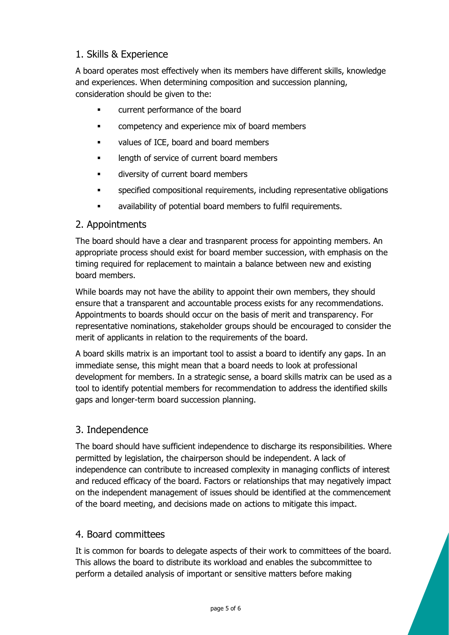## 1. Skills & Experience

A board operates most effectively when its members have different skills, knowledge and experiences. When determining composition and succession planning, consideration should be given to the:

- current performance of the board
- **•** competency and experience mix of board members
- values of ICE, board and board members
- **■** length of service of current board members
- **■** diversity of current board members
- specified compositional requirements, including representative obligations
- availability of potential board members to fulfil requirements.

### 2. Appointments

The board should have a clear and trasnparent process for appointing members. An appropriate process should exist for board member succession, with emphasis on the timing required for replacement to maintain a balance between new and existing board members.

While boards may not have the ability to appoint their own members, they should ensure that a transparent and accountable process exists for any recommendations. Appointments to boards should occur on the basis of merit and transparency. For representative nominations, stakeholder groups should be encouraged to consider the merit of applicants in relation to the requirements of the board.

A board skills matrix is an important tool to assist a board to identify any gaps. In an immediate sense, this might mean that a board needs to look at professional development for members. In a strategic sense, a board skills matrix can be used as a tool to identify potential members for recommendation to address the identified skills gaps and longer-term board succession planning.

## 3. Independence

The board should have sufficient independence to discharge its responsibilities. Where permitted by legislation, the chairperson should be independent. A lack of independence can contribute to increased complexity in managing conflicts of interest and reduced efficacy of the board. Factors or relationships that may negatively impact on the independent management of issues should be identified at the commencement of the board meeting, and decisions made on actions to mitigate this impact.

## 4. Board committees

It is common for boards to delegate aspects of their work to committees of the board. This allows the board to distribute its workload and enables the subcommittee to perform a detailed analysis of important or sensitive matters before making